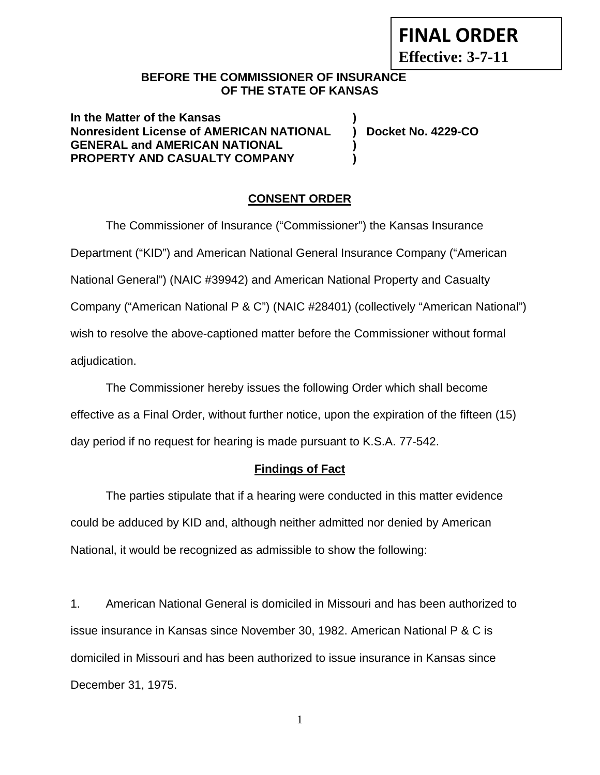**FINAL ORDER**

**Effective: 3-7-11** 

## **BEFORE THE COMMISSIONER OF INSURANCE OF THE STATE OF KANSAS**

**In the Matter of the Kansas ) Nonresident License of AMERICAN NATIONAL ) Docket No. 4229-CO GENERAL and AMERICAN NATIONAL ) PROPERTY AND CASUALTY COMPANY )** 

## **CONSENT ORDER**

The Commissioner of Insurance ("Commissioner") the Kansas Insurance Department ("KID") and American National General Insurance Company ("American National General") (NAIC #39942) and American National Property and Casualty Company ("American National P & C") (NAIC #28401) (collectively "American National") wish to resolve the above-captioned matter before the Commissioner without formal adjudication.

The Commissioner hereby issues the following Order which shall become effective as a Final Order, without further notice, upon the expiration of the fifteen (15) day period if no request for hearing is made pursuant to K.S.A. 77-542.

## **Findings of Fact**

The parties stipulate that if a hearing were conducted in this matter evidence could be adduced by KID and, although neither admitted nor denied by American National, it would be recognized as admissible to show the following:

1. American National General is domiciled in Missouri and has been authorized to issue insurance in Kansas since November 30, 1982. American National P & C is domiciled in Missouri and has been authorized to issue insurance in Kansas since December 31, 1975.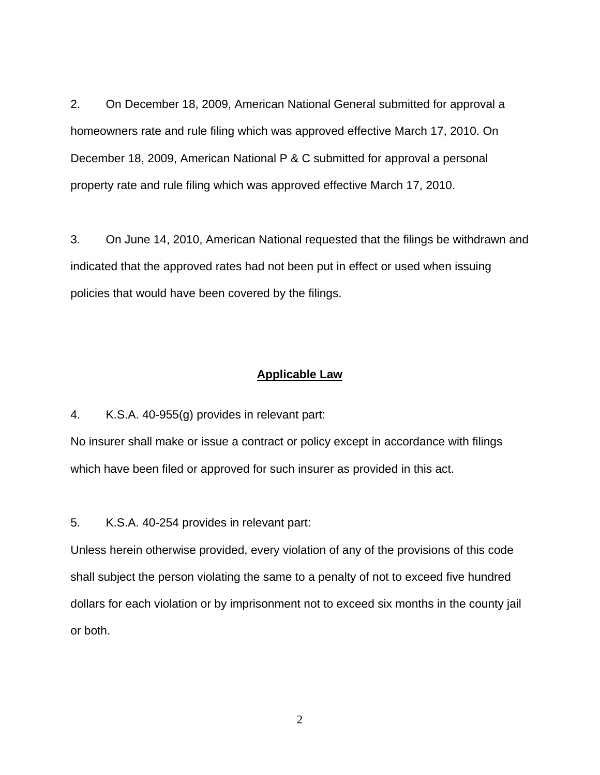2. On December 18, 2009, American National General submitted for approval a homeowners rate and rule filing which was approved effective March 17, 2010. On December 18, 2009, American National P & C submitted for approval a personal property rate and rule filing which was approved effective March 17, 2010.

3. On June 14, 2010, American National requested that the filings be withdrawn and indicated that the approved rates had not been put in effect or used when issuing policies that would have been covered by the filings.

#### **Applicable Law**

4. K.S.A. 40-955(g) provides in relevant part:

No insurer shall make or issue a contract or policy except in accordance with filings which have been filed or approved for such insurer as provided in this act.

5. K.S.A. 40-254 provides in relevant part:

Unless herein otherwise provided, every violation of any of the provisions of this code shall subject the person violating the same to a penalty of not to exceed five hundred dollars for each violation or by imprisonment not to exceed six months in the county jail or both.

2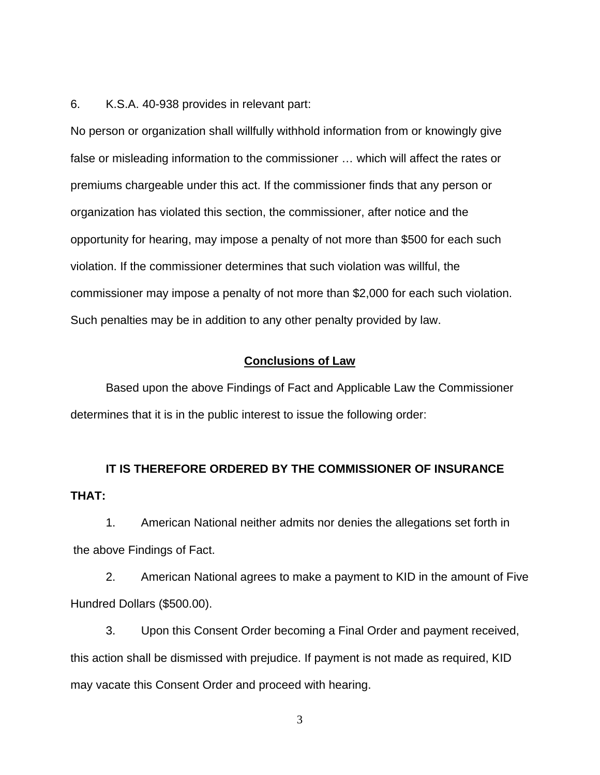6. K.S.A. 40-938 provides in relevant part:

No person or organization shall willfully withhold information from or knowingly give false or misleading information to the commissioner … which will affect the rates or premiums chargeable under this act. If the commissioner finds that any person or organization has violated this section, the commissioner, after notice and the opportunity for hearing, may impose a penalty of not more than \$500 for each such violation. If the commissioner determines that such violation was willful, the commissioner may impose a penalty of not more than \$2,000 for each such violation. Such penalties may be in addition to any other penalty provided by law.

#### **Conclusions of Law**

Based upon the above Findings of Fact and Applicable Law the Commissioner determines that it is in the public interest to issue the following order:

# **IT IS THEREFORE ORDERED BY THE COMMISSIONER OF INSURANCE THAT:**

1. American National neither admits nor denies the allegations set forth in the above Findings of Fact.

2. American National agrees to make a payment to KID in the amount of Five Hundred Dollars (\$500.00).

3. Upon this Consent Order becoming a Final Order and payment received, this action shall be dismissed with prejudice. If payment is not made as required, KID may vacate this Consent Order and proceed with hearing.

3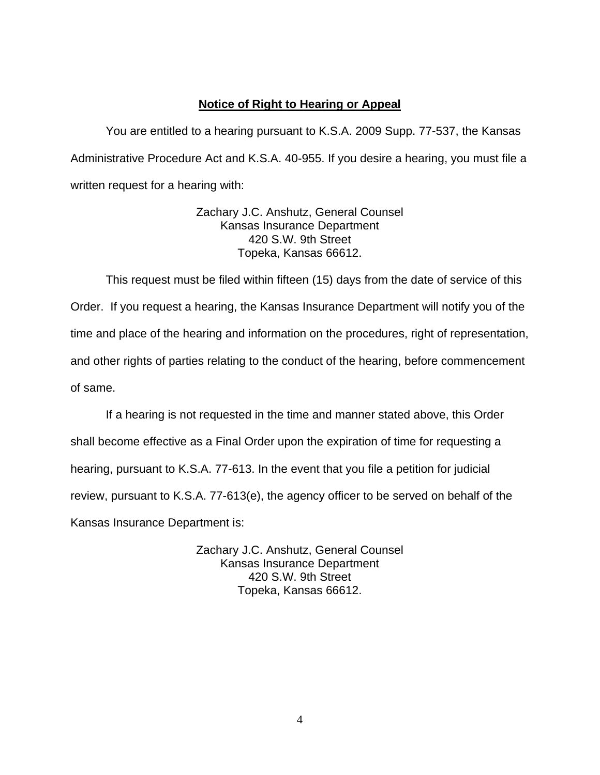## **Notice of Right to Hearing or Appeal**

You are entitled to a hearing pursuant to K.S.A. 2009 Supp. 77-537, the Kansas Administrative Procedure Act and K.S.A. 40-955. If you desire a hearing, you must file a written request for a hearing with:

> Zachary J.C. Anshutz, General Counsel Kansas Insurance Department 420 S.W. 9th Street Topeka, Kansas 66612.

This request must be filed within fifteen (15) days from the date of service of this Order. If you request a hearing, the Kansas Insurance Department will notify you of the time and place of the hearing and information on the procedures, right of representation, and other rights of parties relating to the conduct of the hearing, before commencement of same.

If a hearing is not requested in the time and manner stated above, this Order shall become effective as a Final Order upon the expiration of time for requesting a hearing, pursuant to K.S.A. 77-613. In the event that you file a petition for judicial review, pursuant to K.S.A. 77-613(e), the agency officer to be served on behalf of the Kansas Insurance Department is:

> Zachary J.C. Anshutz, General Counsel Kansas Insurance Department 420 S.W. 9th Street Topeka, Kansas 66612.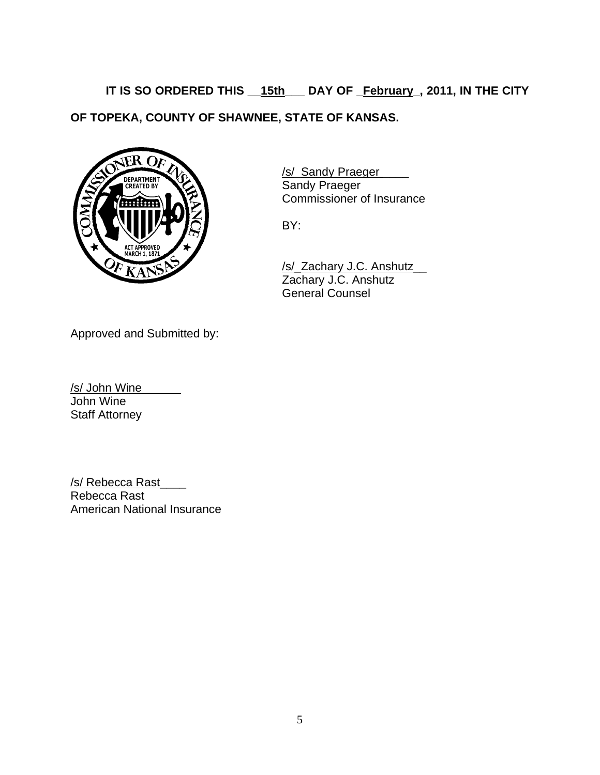**IT IS SO ORDERED THIS \_\_15th\_\_\_ DAY OF \_February\_, 2011, IN THE CITY OF TOPEKA, COUNTY OF SHAWNEE, STATE OF KANSAS.** 



/s/ Sandy Praeger Commissioner of Insurance

 /s/\_Zachary J.C. Anshutz\_\_ Zachary J.C. Anshutz General Counsel

Approved and Submitted by:

/s/ John Wine\_\_\_\_\_\_ John Wine Staff Attorney

/s/ Rebecca Rast Rebecca Rast American National Insurance